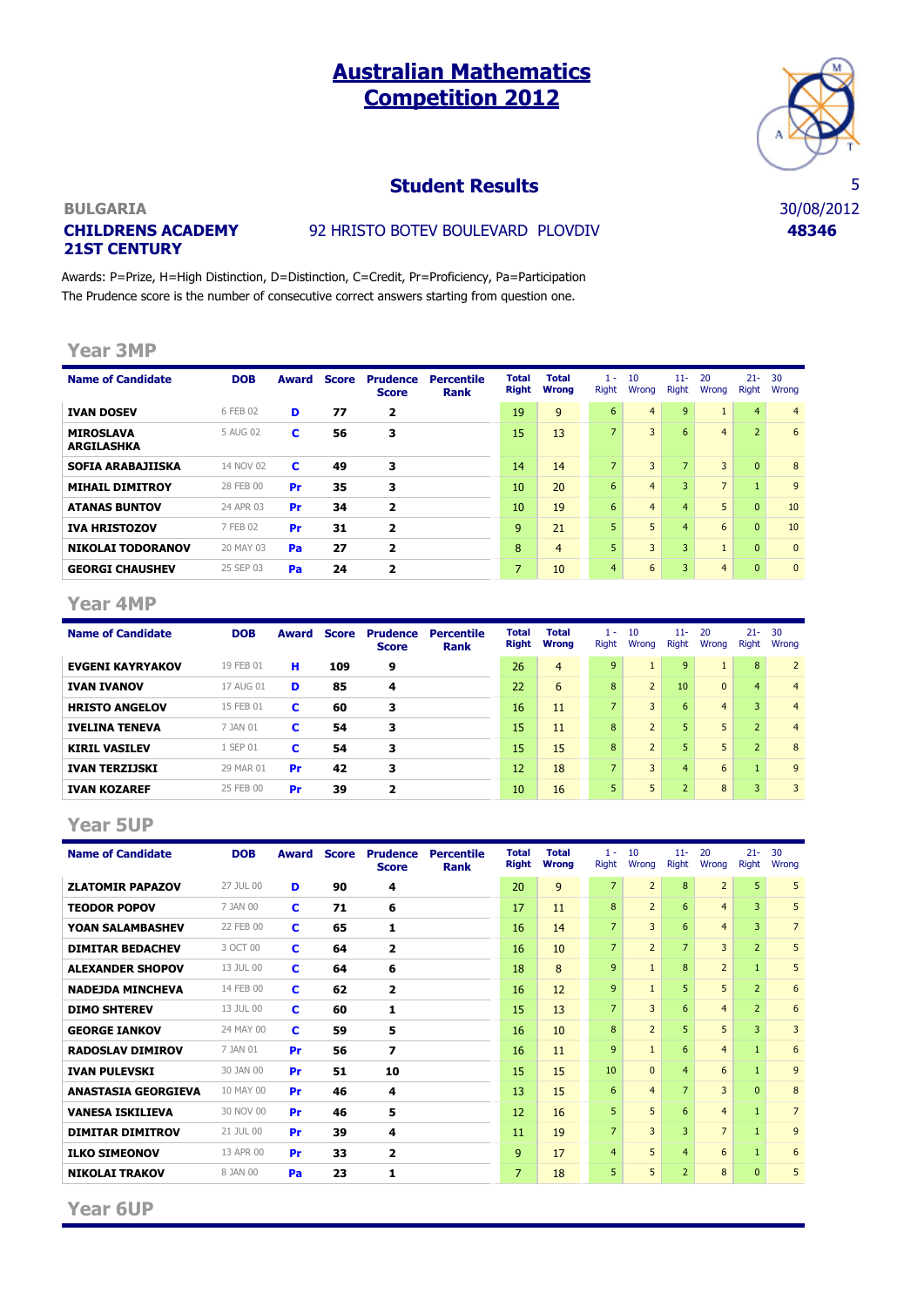# **Australian Mathematics Competition 2012**



### **Student Results** 5

#### **BULGARIA** 30/08/2012 **CHILDRENS ACADEMY 21ST CENTURY**

## 92 HRISTO BOTEV BOULEVARD PLOVDIV **48346**

Awards: P=Prize, H=High Distinction, D=Distinction, C=Credit, Pr=Proficiency, Pa=Participation The Prudence score is the number of consecutive correct answers starting from question one.

#### **Year 3MP**

| <b>Name of Candidate</b>              | <b>DOB</b> | Award | <b>Score</b> | <b>Prudence</b><br><b>Score</b> | <b>Percentile</b><br>Rank | Total<br><b>Right</b> | <b>Total</b><br>Wrona | 1 -<br><b>Right</b> | 10<br>Wrong    | $11 -$<br><b>Right</b> | 20<br>Wrong    | $21 -$<br><b>Right</b> | 30<br>Wrong    |
|---------------------------------------|------------|-------|--------------|---------------------------------|---------------------------|-----------------------|-----------------------|---------------------|----------------|------------------------|----------------|------------------------|----------------|
| <b>IVAN DOSEV</b>                     | 6 FEB 02   | D     | 77           | $\overline{\mathbf{2}}$         |                           | 19                    | 9                     | 6                   | $\overline{4}$ | 9                      |                | $\overline{4}$         | $\overline{4}$ |
| <b>MIROSLAVA</b><br><b>ARGILASHKA</b> | 5 AUG 02   | c     | 56           | 3                               |                           | 15                    | 13                    | $\overline{7}$      | 3              | 6                      | $\overline{4}$ | $\overline{2}$         | 6              |
| <b>SOFIA ARABAJIISKA</b>              | 14 NOV 02  | c     | 49           | 3                               |                           | 14                    | 14                    | $\overline{7}$      | 3              | $\overline{7}$         | 3              | $\overline{0}$         | 8              |
| <b>MIHAIL DIMITROY</b>                | 28 FEB 00  | Pr    | 35           | 3                               |                           | 10                    | 20                    | 6                   | $\overline{4}$ | 3                      | $\overline{7}$ | $\mathbf{1}$           | 9              |
| <b>ATANAS BUNTOV</b>                  | 24 APR 03  | Pr    | 34           | $\overline{\mathbf{z}}$         |                           | 10                    | 19                    | 6                   | $\overline{4}$ | $\overline{4}$         | 5              | $\overline{0}$         | 10             |
| <b>IVA HRISTOZOV</b>                  | 7 FEB 02   | Pr    | 31           | $\overline{\mathbf{z}}$         |                           | 9                     | 21                    | 5                   | 5              | $\overline{4}$         | 6              | $\overline{0}$         | 10             |
| <b>NIKOLAI TODORANOV</b>              | 20 MAY 03  | Pa    | 27           | $\overline{\mathbf{z}}$         |                           | 8                     | 4                     | 5                   | 3              | 3                      |                | $\overline{0}$         | $\mathbf{0}$   |
| <b>GEORGI CHAUSHEV</b>                | 25 SEP 03  | Pa    | 24           | $\overline{2}$                  |                           | 7                     | 10                    | $\overline{4}$      | 6              | 3                      | $\overline{4}$ | $\mathbf{0}$           | $\Omega$       |

#### **Year 4MP**

| <b>Name of Candidate</b> | <b>DOB</b> | Award     | Score | <b>Prudence</b><br><b>Score</b> | <b>Percentile</b><br><b>Rank</b> | <b>Total</b><br><b>Right</b> | <b>Total</b><br>Wrona | $\sim$<br><b>Right</b>   | 10<br>Wrong    | $11 -$<br><b>Right</b> | 20<br>Wrong    | $21 -$<br><b>Right</b> | 30<br>Wrona    |
|--------------------------|------------|-----------|-------|---------------------------------|----------------------------------|------------------------------|-----------------------|--------------------------|----------------|------------------------|----------------|------------------------|----------------|
| <b>EVGENI KAYRYAKOV</b>  | 19 FEB 01  | н         | 109   | 9                               |                                  | 26                           | $\overline{4}$        | 9                        |                | 9                      |                | 8                      | $\overline{2}$ |
| <b>IVAN IVANOV</b>       | 17 AUG 01  | D         | 85    | 4                               |                                  | 22                           | 6                     | 8                        | $\overline{2}$ | 10                     | $\mathbf{0}$   | $\overline{4}$         | $\overline{4}$ |
| <b>HRISTO ANGELOV</b>    | 15 FEB 01  | c         | 60    | 3                               |                                  | 16                           | 11                    | $\overline{\phantom{a}}$ | 3              | 6                      | $\overline{4}$ | $\overline{3}$         | $\overline{4}$ |
| <b>IVELINA TENEVA</b>    | 7 JAN 01   | c         | 54    | 3                               |                                  | 15                           | 11                    | 8                        | $\overline{2}$ | 5                      | 5              | 2 <sup>1</sup>         | $\overline{4}$ |
| <b>KIRIL VASILEV</b>     | 1 SEP 01   | c         | 54    | 3                               |                                  | 15                           | 15                    | 8                        | $\overline{2}$ | 5                      | 5              | $\overline{2}$         | 8              |
| <b>IVAN TERZIJSKI</b>    | 29 MAR 01  | Pr        | 42    | 3                               |                                  | 12                           | 18                    | 7                        | 3              | $\overline{4}$         | 6              | $\mathbf{1}$           | 9              |
| <b>IVAN KOZAREF</b>      | 25 FEB 00  | <b>Pr</b> | 39    | 2                               |                                  | 10                           | 16                    | 5                        | 5.             | $\overline{2}$         | 8              | $\overline{3}$         | 3              |

#### **Year 5UP**

| <b>Name of Candidate</b>   | <b>DOB</b> | <b>Award</b> | <b>Score</b> | <b>Prudence</b><br><b>Score</b> | <b>Percentile</b><br><b>Rank</b> | <b>Total</b><br><b>Right</b> | <b>Total</b><br><b>Wrong</b> | $1 -$<br><b>Right</b> | 10<br>Wrona    | $11 -$<br><b>Right</b> | 20<br>Wrong    | $21 -$<br><b>Right</b> | 30<br>Wrong    |
|----------------------------|------------|--------------|--------------|---------------------------------|----------------------------------|------------------------------|------------------------------|-----------------------|----------------|------------------------|----------------|------------------------|----------------|
| <b>ZLATOMIR PAPAZOV</b>    | 27 JUL 00  | D            | 90           | 4                               |                                  | 20                           | 9                            | $\overline{7}$        | $\overline{2}$ | 8                      | $\overline{2}$ | 5                      | 5              |
| <b>TEODOR POPOV</b>        | 7 JAN 00   | C            | 71           | 6                               |                                  | 17                           | 11                           | 8                     | $\overline{2}$ | 6                      | $\overline{4}$ | 3                      | 5              |
| YOAN SALAMBASHEV           | 22 FEB 00  | C            | 65           | 1                               |                                  | 16                           | 14                           | $\overline{7}$        | 3              | 6                      | $\overline{4}$ | 3                      | $\overline{7}$ |
| <b>DIMITAR BEDACHEV</b>    | 3 OCT 00   | c            | 64           | $\overline{2}$                  |                                  | 16                           | 10                           | $\overline{7}$        | $\overline{2}$ | $\overline{7}$         | 3              | $\overline{2}$         | 5              |
| <b>ALEXANDER SHOPOV</b>    | 13 JUL 00  | c            | 64           | 6                               |                                  | 18                           | 8                            | $\mathbf{q}$          | $\mathbf{1}$   | $\mathbf{R}$           | $\overline{2}$ | $\mathbf{1}$           | 5              |
| <b>NADEJDA MINCHEVA</b>    | 14 FEB 00  | c            | 62           | $\overline{2}$                  |                                  | 16                           | 12                           | $\mathbf{q}$          | $\mathbf{1}$   | 5                      | 5              | $\overline{2}$         | 6              |
| <b>DIMO SHTEREV</b>        | 13 JUL 00  | C            | 60           | 1                               |                                  | 15                           | 13                           | $\overline{7}$        | 3              | 6                      | $\overline{4}$ | $\overline{2}$         | 6              |
| <b>GEORGE IANKOV</b>       | 24 MAY 00  | c            | 59           | 5                               |                                  | 16                           | 10                           | 8                     | $\overline{2}$ | 5.                     | 5              | 3                      | 3              |
| <b>RADOSLAV DIMIROV</b>    | 7 JAN 01   | Pr           | 56           | 7                               |                                  | 16                           | 11                           | $\overline{9}$        | $\mathbf{1}$   | 6                      | $\overline{4}$ | $\mathbf{1}$           | 6              |
| <b>IVAN PULEVSKI</b>       | 30 JAN 00  | Pr           | 51           | 10                              |                                  | 15                           | 15                           | 10                    | $\Omega$       | $\overline{4}$         | 6              | $\mathbf{1}$           | 9              |
| <b>ANASTASIA GEORGIEVA</b> | 10 MAY 00  | Pr           | 46           | 4                               |                                  | 13                           | 15                           | 6                     | $\overline{4}$ | $\overline{7}$         | 3              | $\mathbf{0}$           | 8              |
| <b>VANESA ISKILIEVA</b>    | 30 NOV 00  | Pr           | 46           | 5                               |                                  | 12                           | 16                           | 5                     | 5              | 6                      | $\overline{4}$ | $\mathbf{1}$           | $\overline{7}$ |
| <b>DIMITAR DIMITROV</b>    | 21 JUL 00  | Pr           | 39           | 4                               |                                  | 11                           | 19                           | $\overline{7}$        | $\overline{3}$ | 3                      | $\overline{7}$ | $\mathbf{1}$           | 9              |
| <b>ILKO SIMEONOV</b>       | 13 APR 00  | Pr           | 33           | 2                               |                                  | $\overline{9}$               | 17                           | $\overline{4}$        | 5              | $\overline{4}$         | 6              | $\mathbf{1}$           | 6              |
| <b>NIKOLAI TRAKOV</b>      | 8 JAN 00   | Pa           | 23           | 1                               |                                  | $\overline{7}$               | 18                           | 5                     | 5              | $\overline{2}$         | 8              | $\Omega$               | 5              |

**Year 6UP**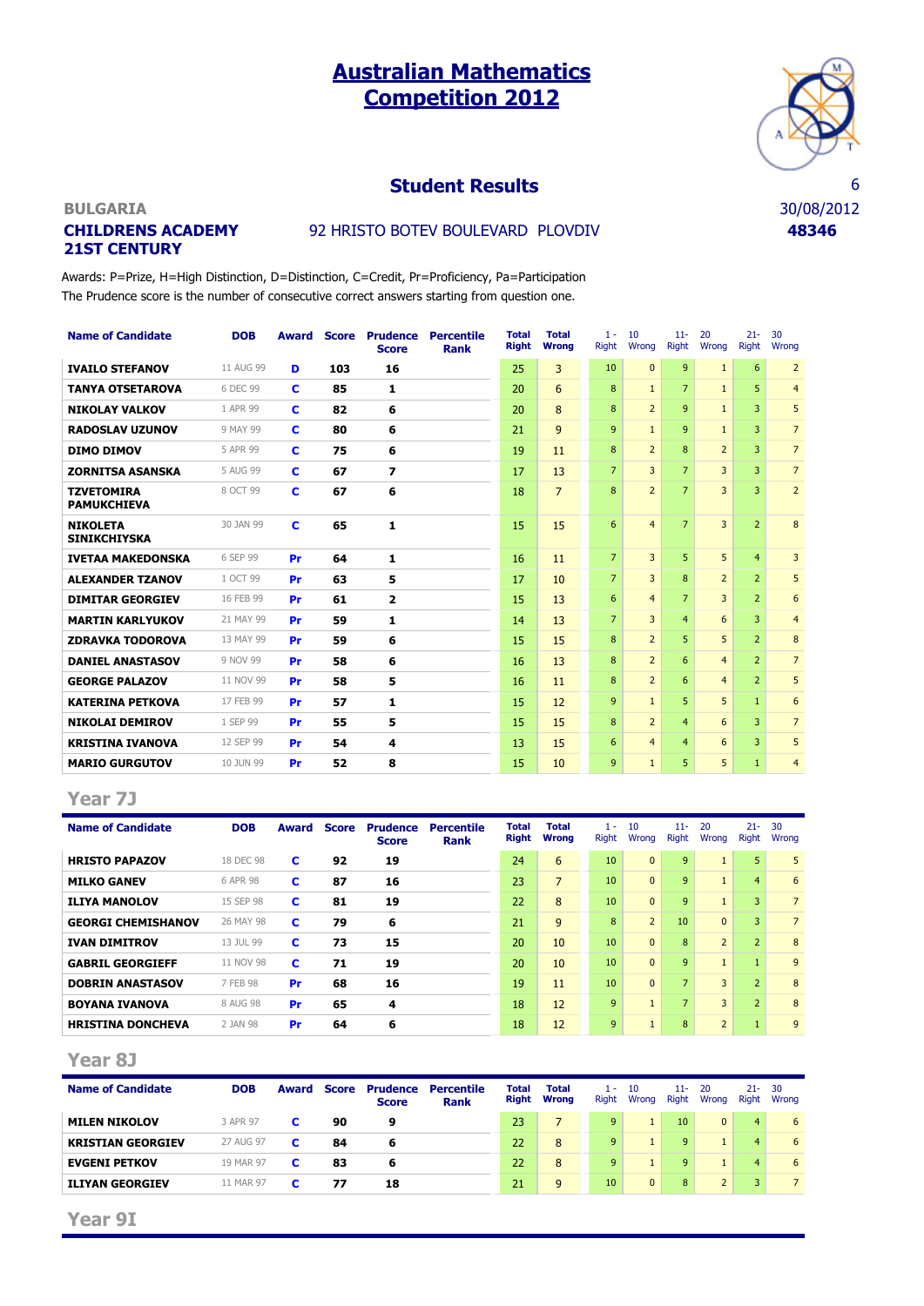# **Australian Mathematics Competition 2012**



### **Student Results** 6

# **CHILDRENS ACADEMY 21ST CENTURY**

# 92 HRISTO BOTEV BOULEVARD PLOVDIV **48346**

Awards: P=Prize, H=High Distinction, D=Distinction, C=Credit, Pr=Proficiency, Pa=Participation The Prudence score is the number of consecutive correct answers starting from question one.

| <b>Name of Candidate</b>                | <b>DOB</b> | Award | <b>Score</b> | <b>Prudence</b><br><b>Score</b> | <b>Percentile</b><br><b>Rank</b> | <b>Total</b><br><b>Right</b> | <b>Total</b><br><b>Wrong</b> | $1 -$<br><b>Right</b> | 10<br>Wrona    | $11 -$<br><b>Right</b> | 20<br>Wrona    | $21 -$<br>Right | 30<br>Wrona     |
|-----------------------------------------|------------|-------|--------------|---------------------------------|----------------------------------|------------------------------|------------------------------|-----------------------|----------------|------------------------|----------------|-----------------|-----------------|
| <b>IVAILO STEFANOV</b>                  | 11 AUG 99  | D     | 103          | 16                              |                                  | 25                           | 3                            | 10                    | $\Omega$       | 9                      | $\mathbf{1}$   | 6               | $\overline{2}$  |
| <b>TANYA OTSETAROVA</b>                 | 6 DEC 99   | c     | 85           | 1                               |                                  | 20                           | 6                            | 8                     | $\mathbf{1}$   | $\overline{7}$         | $\mathbf{1}$   | 5               | $\overline{4}$  |
| <b>NIKOLAY VALKOV</b>                   | 1 APR 99   | c     | 82           | 6                               |                                  | 20                           | 8                            | 8                     | $\overline{2}$ | 9                      | $\mathbf{1}$   | 3               | 5               |
| <b>RADOSLAV UZUNOV</b>                  | 9 MAY 99   | c     | 80           | 6                               |                                  | 21                           | 9                            | 9                     | $\mathbf{1}$   | 9                      | $\mathbf{1}$   | 3               | $7\overline{ }$ |
| <b>DIMO DIMOV</b>                       | 5 APR 99   | C     | 75           | 6                               |                                  | 19                           | 11                           | 8                     | $\overline{2}$ | 8                      | $\overline{2}$ | 3               | $7\overline{ }$ |
| <b>ZORNITSA ASANSKA</b>                 | 5 AUG 99   | c     | 67           | $\overline{\phantom{a}}$        |                                  | 17                           | 13                           | $\overline{7}$        | 3              | $\overline{7}$         | 3              | 3               | $\overline{7}$  |
| <b>TZVETOMIRA</b><br><b>PAMUKCHIEVA</b> | 8 OCT 99   | c     | 67           | 6                               |                                  | 18                           | $\overline{7}$               | 8                     | $\overline{2}$ | $\overline{7}$         | 3              | 3               | $\overline{2}$  |
| <b>NIKOLETA</b><br><b>SINIKCHIYSKA</b>  | 30 JAN 99  | C     | 65           | 1                               |                                  | 15                           | 15                           | 6                     | $\overline{4}$ | $\overline{7}$         | 3              | $\overline{2}$  | 8               |
| <b>IVETAA MAKEDONSKA</b>                | 6 SEP 99   | Pr    | 64           | 1                               |                                  | 16                           | 11                           | $\overline{7}$        | 3              | 5                      | 5              | $\overline{4}$  | 3               |
| <b>ALEXANDER TZANOV</b>                 | 1 OCT 99   | Pr    | 63           | 5                               |                                  | 17                           | 10                           | $\overline{7}$        | 3              | 8                      | $\overline{2}$ | $\overline{2}$  | 5               |
| <b>DIMITAR GEORGIEV</b>                 | 16 FEB 99  | Pr    | 61           | $\overline{2}$                  |                                  | 15                           | 13                           | 6                     | $\overline{4}$ | $\overline{7}$         | 3              | $\overline{2}$  | 6               |
| <b>MARTIN KARLYUKOV</b>                 | 21 MAY 99  | Pr    | 59           | 1                               |                                  | 14                           | 13                           | $\overline{7}$        | 3              | $\overline{4}$         | 6              | 3               | $\overline{4}$  |
| <b>ZDRAVKA TODOROVA</b>                 | 13 MAY 99  | Pr    | 59           | 6                               |                                  | 15                           | 15                           | 8                     | $\overline{2}$ | 5                      | 5              | $\overline{2}$  | 8               |
| <b>DANIEL ANASTASOV</b>                 | 9 NOV 99   | Pr    | 58           | 6                               |                                  | 16                           | 13                           | 8                     | $\overline{2}$ | 6                      | $\overline{4}$ | $\overline{2}$  | $7\overline{ }$ |
| <b>GEORGE PALAZOV</b>                   | 11 NOV 99  | Pr    | 58           | 5                               |                                  | 16                           | 11                           | 8                     | $\overline{2}$ | 6                      | $\overline{4}$ | $\overline{2}$  | 5               |
| <b>KATERINA PETKOVA</b>                 | 17 FEB 99  | Pr    | 57           | 1                               |                                  | 15                           | 12                           | 9                     | $\mathbf{1}$   | 5                      | 5              | $\mathbf{1}$    | 6               |
| <b>NIKOLAI DEMIROV</b>                  | 1 SEP 99   | Pr    | 55           | 5                               |                                  | 15                           | 15                           | 8                     | $\overline{2}$ | $\overline{4}$         | 6              | 3               | $7\overline{ }$ |
| <b>KRISTINA IVANOVA</b>                 | 12 SEP 99  | Pr    | 54           | 4                               |                                  | 13                           | 15                           | 6                     | $\overline{4}$ | $\overline{4}$         | 6              | 3               | 5               |
| <b>MARIO GURGUTOV</b>                   | 10 JUN 99  | Pr    | 52           | 8                               |                                  | 15                           | 10                           | 9                     | $\mathbf{1}$   | 5                      | 5              | $\mathbf{1}$    | $\overline{4}$  |

#### **Year 7J**

| <b>Name of Candidate</b>  | <b>DOB</b> | Award | <b>Score</b> | <b>Prudence</b><br><b>Score</b> | <b>Percentile</b><br><b>Rank</b> | <b>Total</b><br><b>Right</b> | <b>Total</b><br><b>Wrong</b> | <b>.</b><br><b>Right</b> | 10<br>Wrong    | $11 -$<br><b>Right</b> | 20<br>Wrong    | $21 -$<br><b>Right</b> | 30<br>Wrona    |
|---------------------------|------------|-------|--------------|---------------------------------|----------------------------------|------------------------------|------------------------------|--------------------------|----------------|------------------------|----------------|------------------------|----------------|
| <b>HRISTO PAPAZOV</b>     | 18 DEC 98  | c     | 92           | 19                              |                                  | 24                           | 6                            | 10                       | $\mathbf{0}$   | 9                      |                | 5                      | 5              |
| <b>MILKO GANEV</b>        | 6 APR 98   | c     | 87           | 16                              |                                  | 23                           | $\overline{7}$               | 10                       | $\mathbf{0}$   | 9                      |                | $\overline{4}$         | 6              |
| <b>ILIYA MANOLOV</b>      | 15 SEP 98  | c     | 81           | 19                              |                                  | 22                           | 8                            | 10                       | $\mathbf{0}$   | $\mathbf{q}$           |                | 3                      | $\overline{7}$ |
| <b>GEORGI CHEMISHANOV</b> | 26 MAY 98  | c     | 79           | 6                               |                                  | 21                           | 9                            | 8                        | $\overline{2}$ | 10                     | $\Omega$       | 3                      | $\overline{7}$ |
| <b>IVAN DIMITROV</b>      | 13 JUL 99  | c     | 73           | 15                              |                                  | 20                           | 10                           | 10                       | $\mathbf{0}$   | 8                      | $\overline{2}$ | $\overline{2}$         | 8              |
| <b>GABRIL GEORGIEFF</b>   | 11 NOV 98  | c     | 71           | 19                              |                                  | 20                           | 10                           | 10                       | $\Omega$       | $\mathbf{q}$           | $\mathbf{1}$   | $\mathbf{1}$           | 9              |
| <b>DOBRIN ANASTASOV</b>   | 7 FEB 98   | Pr    | 68           | 16                              |                                  | 19                           | 11                           | 10                       | $\Omega$       | $\overline{7}$         | 3              | $\overline{2}$         | 8              |
| <b>BOYANA IVANOVA</b>     | 8 AUG 98   | Pr    | 65           | 4                               |                                  | 18                           | 12                           | 9                        | $\mathbf{1}$   | $\overline{7}$         | 3              | $\overline{2}$         | 8              |
| <b>HRISTINA DONCHEVA</b>  | 2 JAN 98   | Pr    | 64           | 6                               |                                  | 18                           | 12                           | 9                        | $\mathbf{1}$   | 8                      | $\overline{2}$ |                        | 9              |

#### **Year 8J**

| <b>Name of Candidate</b> | <b>DOB</b> | <b>Award</b> | Score | Prudence<br><b>Score</b> | Percentile<br><b>Rank</b> | <b>Total</b><br>Right | <b>Total</b><br><b>Wrong</b> | 1 -<br><b>Right</b> | 10<br>Wrong  | $11 -$<br><b>Right</b> | -20<br>Wrona | $21 - 30$<br>Right | Wrong          |
|--------------------------|------------|--------------|-------|--------------------------|---------------------------|-----------------------|------------------------------|---------------------|--------------|------------------------|--------------|--------------------|----------------|
| <b>MILEN NIKOLOV</b>     | 3 APR 97   |              | 90    | 9                        |                           | 23                    |                              | 9                   |              | 10                     | $\Omega$     | $\overline{4}$     | 6              |
| <b>KRISTIAN GEORGIEV</b> | 27 AUG 97  |              | 84    |                          |                           | 22                    | 8                            | 9                   |              | 9                      |              | 4                  | 6              |
| <b>EVGENI PETKOV</b>     | 19 MAR 97  | c            | 83    | 6                        |                           | 22                    | 8                            | 9                   |              | <b>q</b>               |              | $\overline{4}$     | 6              |
| <b>ILIYAN GEORGIEV</b>   | 11 MAR 97  |              | 77    | 18                       |                           | 21                    | 9                            | 10                  | $\mathbf{0}$ | 8                      |              | 3                  | $\overline{7}$ |

**Year 9I**